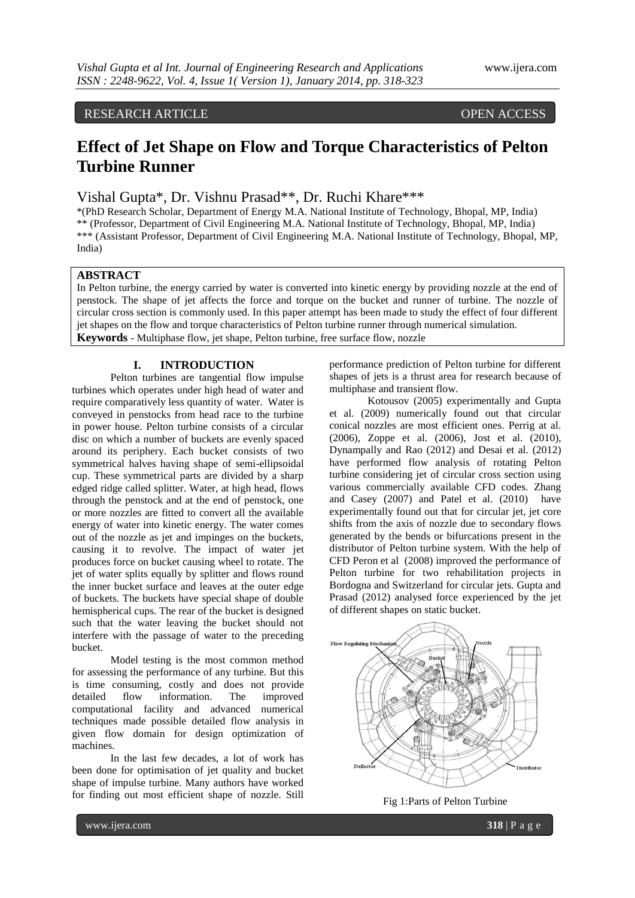# RESEARCH ARTICLE **CONTRACT OPEN ACCESS**

# **Effect of Jet Shape on Flow and Torque Characteristics of Pelton Turbine Runner**

Vishal Gupta\*, Dr. Vishnu Prasad\*\*, Dr. Ruchi Khare\*\*\*

\*(PhD Research Scholar, Department of Energy M.A. National Institute of Technology, Bhopal, MP, India) \*\* (Professor, Department of Civil Engineering M.A. National Institute of Technology, Bhopal, MP, India) \*\*\* (Assistant Professor, Department of Civil Engineering M.A. National Institute of Technology, Bhopal, MP, India)

## **ABSTRACT**

In Pelton turbine, the energy carried by water is converted into kinetic energy by providing nozzle at the end of penstock. The shape of jet affects the force and torque on the bucket and runner of turbine. The nozzle of circular cross section is commonly used. In this paper attempt has been made to study the effect of four different jet shapes on the flow and torque characteristics of Pelton turbine runner through numerical simulation. **Keywords** - Multiphase flow, jet shape, Pelton turbine, free surface flow, nozzle

#### **I. INTRODUCTION**

Pelton turbines are tangential flow impulse turbines which operates under high head of water and require comparatively less quantity of water. Water is conveyed in penstocks from head race to the turbine in power house. Pelton turbine consists of a circular disc on which a number of buckets are evenly spaced around its periphery. Each bucket consists of two symmetrical halves having shape of semi-ellipsoidal cup. These symmetrical parts are divided by a sharp edged ridge called splitter. Water, at high head, flows through the penstock and at the end of penstock, one or more nozzles are fitted to convert all the available energy of water into kinetic energy. The water comes out of the nozzle as jet and impinges on the buckets, causing it to revolve. The impact of water jet produces force on bucket causing wheel to rotate. The jet of water splits equally by splitter and flows round the inner bucket surface and leaves at the outer edge of buckets. The buckets have special shape of double hemispherical cups. The rear of the bucket is designed such that the water leaving the bucket should not interfere with the passage of water to the preceding bucket.

Model testing is the most common method for assessing the performance of any turbine. But this is time consuming, costly and does not provide detailed flow information. The improved computational facility and advanced numerical techniques made possible detailed flow analysis in given flow domain for design optimization of machines.

In the last few decades, a lot of work has been done for optimisation of jet quality and bucket shape of impulse turbine. Many authors have worked for finding out most efficient shape of nozzle. Still

performance prediction of Pelton turbine for different shapes of jets is a thrust area for research because of multiphase and transient flow.

Kotousov (2005) experimentally and Gupta et al. (2009) numerically found out that circular conical nozzles are most efficient ones. Perrig at al. (2006), Zoppe et al. (2006), Jost et al. (2010), Dynampally and Rao (2012) and Desai et al. (2012) have performed flow analysis of rotating Pelton turbine considering jet of circular cross section using various commercially available CFD codes. Zhang and Casey (2007) and Patel et al. (2010) have experimentally found out that for circular jet, jet core shifts from the axis of nozzle due to secondary flows generated by the bends or bifurcations present in the distributor of Pelton turbine system. With the help of CFD Peron et al (2008) improved the performance of Pelton turbine for two rehabilitation projects in Bordogna and Switzerland for circular jets. Gupta and Prasad (2012) analysed force experienced by the jet of different shapes on static bucket.



Fig 1:Parts of Pelton Turbine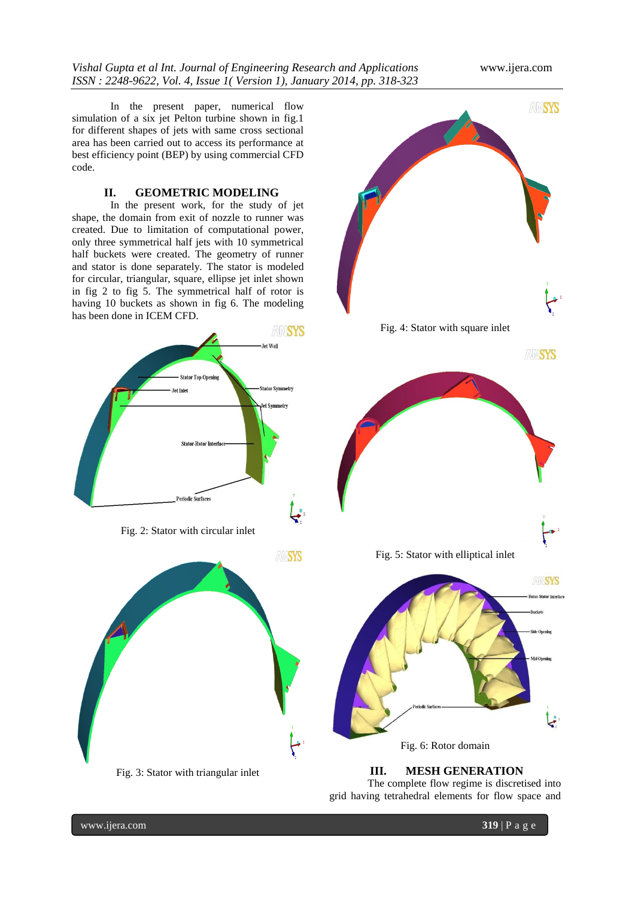In the present paper, numerical flow simulation of a six jet Pelton turbine shown in fig.1 for different shapes of jets with same cross sectional area has been carried out to access its performance at best efficiency point (BEP) by using commercial CFD code.

#### **II. GEOMETRIC MODELING**

In the present work, for the study of jet shape, the domain from exit of nozzle to runner was created. Due to limitation of computational power, only three symmetrical half jets with 10 symmetrical half buckets were created. The geometry of runner and stator is done separately. The stator is modeled for circular, triangular, square, ellipse jet inlet shown in fig 2 to fig 5. The symmetrical half of rotor is having 10 buckets as shown in fig 6. The modeling has been done in ICEM CFD.







Fig. 3: Stator with triangular inlet



Fig. 6: Rotor domain

**III. MESH GENERATION** The complete flow regime is discretised into grid having tetrahedral elements for flow space and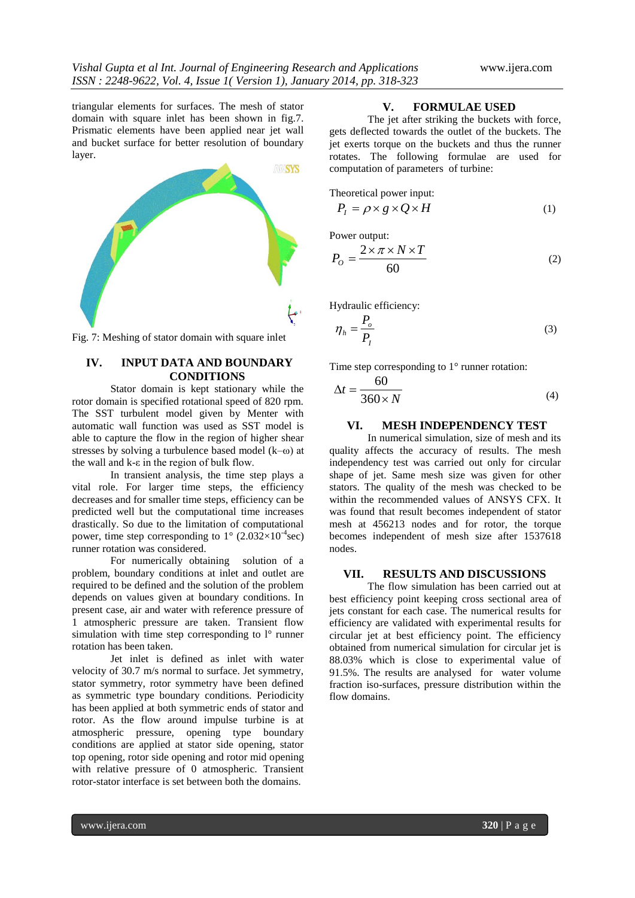triangular elements for surfaces. The mesh of stator domain with square inlet has been shown in fig.7. Prismatic elements have been applied near jet wall and bucket surface for better resolution of boundary layer.



Fig. 7: Meshing of stator domain with square inlet

# **IV. INPUT DATA AND BOUNDARY CONDITIONS**

Stator domain is kept stationary while the rotor domain is specified rotational speed of 820 rpm. The SST turbulent model given by Menter with automatic wall function was used as SST model is able to capture the flow in the region of higher shear stresses by solving a turbulence based model (k–ω) at the wall and k-ε in the region of bulk flow.

In transient analysis, the time step plays a vital role. For larger time steps, the efficiency decreases and for smaller time steps, efficiency can be predicted well but the computational time increases drastically. So due to the limitation of computational power, time step corresponding to  $1^{\circ}$  (2.032×10<sup>-4</sup>sec) runner rotation was considered.

For numerically obtaining solution of a problem, boundary conditions at inlet and outlet are required to be defined and the solution of the problem depends on values given at boundary conditions. In present case, air and water with reference pressure of 1 atmospheric pressure are taken. Transient flow simulation with time step corresponding to  $l^{\circ}$  runner rotation has been taken.

Jet inlet is defined as inlet with water velocity of 30.7 m/s normal to surface. Jet symmetry, stator symmetry, rotor symmetry have been defined as symmetric type boundary conditions. Periodicity has been applied at both symmetric ends of stator and rotor. As the flow around impulse turbine is at atmospheric pressure, opening type boundary conditions are applied at stator side opening, stator top opening, rotor side opening and rotor mid opening with relative pressure of 0 atmospheric. Transient rotor-stator interface is set between both the domains.

### **V. FORMULAE USED**

The jet after striking the buckets with force, gets deflected towards the outlet of the buckets. The jet exerts torque on the buckets and thus the runner rotates. The following formulae are used for computation of parameters of turbine:

Theoretical power input:

$$
P_I = \rho \times g \times Q \times H \tag{1}
$$

Power output:

$$
P_O = \frac{2 \times \pi \times N \times T}{60} \tag{2}
$$

Hydraulic efficiency:

$$
\eta_h = \frac{P_o}{P_I} \tag{3}
$$

Time step corresponding to 1<sup>°</sup> runner rotation:

$$
\Delta t = \frac{60}{360 \times N} \tag{4}
$$

### **VI. MESH INDEPENDENCY TEST**

In numerical simulation, size of mesh and its quality affects the accuracy of results. The mesh independency test was carried out only for circular shape of jet. Same mesh size was given for other stators. The quality of the mesh was checked to be within the recommended values of ANSYS CFX. It was found that result becomes independent of stator mesh at 456213 nodes and for rotor, the torque becomes independent of mesh size after 1537618 nodes.

#### **VII. RESULTS AND DISCUSSIONS**

The flow simulation has been carried out at best efficiency point keeping cross sectional area of jets constant for each case. The numerical results for efficiency are validated with experimental results for circular jet at best efficiency point. The efficiency obtained from numerical simulation for circular jet is 88.03% which is close to experimental value of 91.5%. The results are analysed for water volume fraction iso-surfaces, pressure distribution within the flow domains.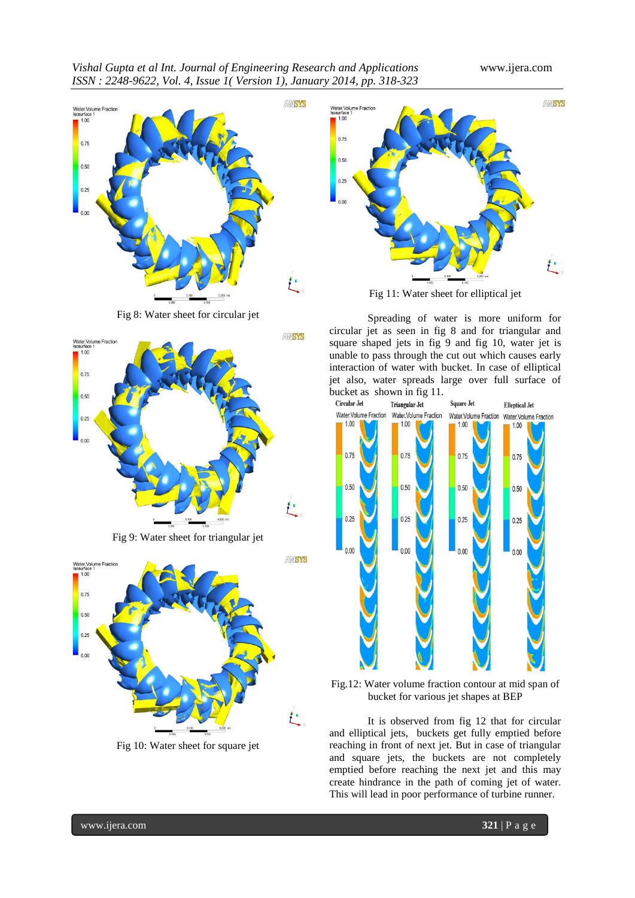



Fig 8: Water sheet for circular jet



Fig 9: Water sheet for triangular jet



Fig 10: Water sheet for square jet



Fig 11: Water sheet for elliptical jet

Spreading of water is more uniform for circular jet as seen in fig 8 and for triangular and square shaped jets in fig 9 and fig 10, water jet is unable to pass through the cut out which causes early interaction of water with bucket. In case of elliptical jet also, water spreads large over full surface of bucket as shown in fig 11.



Fig.12: Water volume fraction contour at mid span of bucket for various jet shapes at BEP

It is observed from fig 12 that for circular and elliptical jets, buckets get fully emptied before reaching in front of next jet. But in case of triangular and square jets, the buckets are not completely emptied before reaching the next jet and this may create hindrance in the path of coming jet of water. This will lead in poor performance of turbine runner.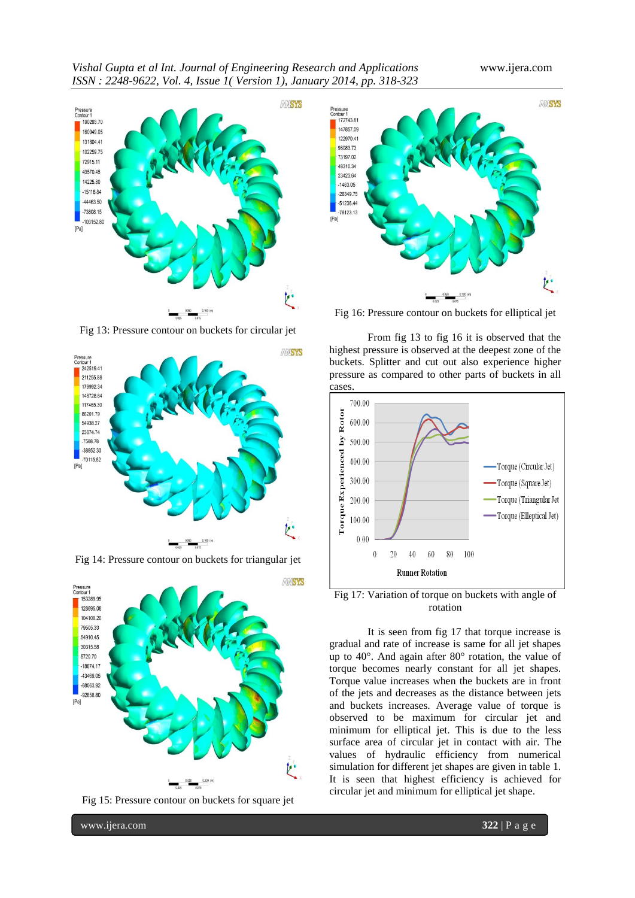

Fig 13: Pressure contour on buckets for circular jet



Fig 14: Pressure contour on buckets for triangular jet



Fig 15: Pressure contour on buckets for square jet



Fig 16: Pressure contour on buckets for elliptical jet

From fig 13 to fig 16 it is observed that the highest pressure is observed at the deepest zone of the buckets. Splitter and cut out also experience higher pressure as compared to other parts of buckets in all cases.



Fig 17: Variation of torque on buckets with angle of rotation

It is seen from fig 17 that torque increase is gradual and rate of increase is same for all jet shapes up to 40°. And again after 80° rotation, the value of torque becomes nearly constant for all jet shapes. Torque value increases when the buckets are in front of the jets and decreases as the distance between jets and buckets increases. Average value of torque is observed to be maximum for circular jet and minimum for elliptical jet. This is due to the less surface area of circular jet in contact with air. The values of hydraulic efficiency from numerical simulation for different jet shapes are given in table 1. It is seen that highest efficiency is achieved for circular jet and minimum for elliptical jet shape.